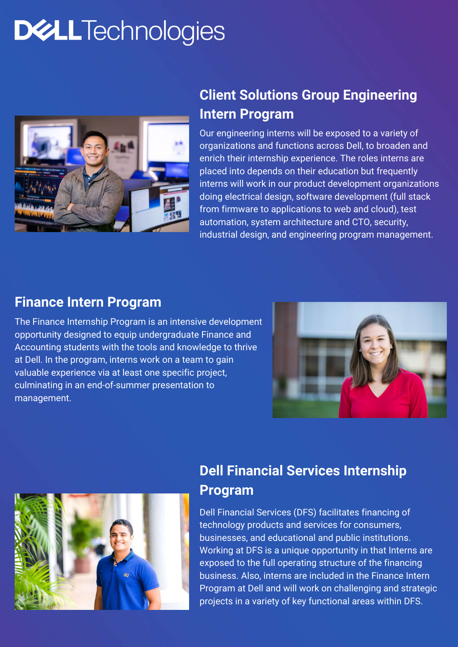Our engineering interns will be exposed to a variety of organizations and functions across Dell, to broaden and enrich their internship experience. The roles interns are placed into depends on their education but frequently interns will work in our product development organizations doing electrical design, software development (full stack from firmware to applications to web and cloud), test automation, system architecture and CTO, security, industrial design, and engineering program management.

The Finance Internship Program is an intensive development opportunity designed to equip undergraduate Finance and Accounting students with the tools and knowledge to thrive at Dell. In the program, interns work on a team to gain valuable experience via at least one specific project, culminating in an end-of-summer presentation to management.





Dell Financial Services (DFS) facilitates financing of technology products and services for consumers, businesses, and educational and public institutions. Working at DFS is a unique opportunity in that Interns are exposed to the full operating structure of the financing business. Also, interns are included in the Finance Intern Program at Dell and will work on challenging and strategic projects in a variety of key functional areas within DFS.

# **DWLLTechnologies**



### **Client Solutions Group Engineering Intern Program**

#### **Finance Intern Program**

#### **Dell Financial Services Internship Program**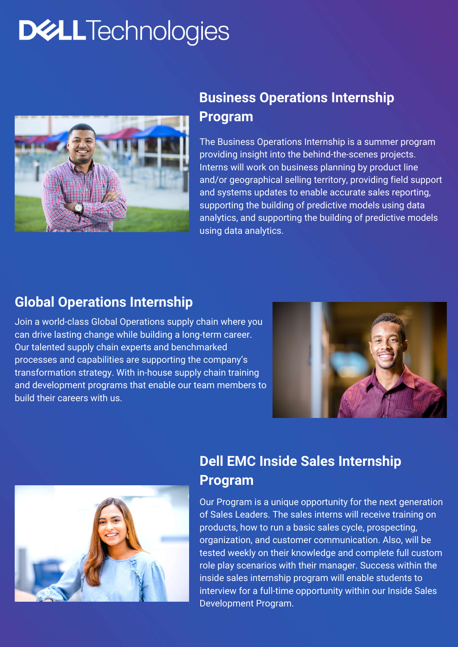The Business Operations Internship is a summer program providing insight into the behind-the-scenes projects. Interns will work on business planning by product line and/or geographical selling territory, providing field support and systems updates to enable accurate sales reporting, supporting the building of predictive models using data analytics, and supporting the building of predictive models using data analytics.

# **DWLLTechnologies**



### **Business Operations Internship Program**

Join a world-class Global Operations supply chain where you can drive lasting change while building a long-term career. Our talented supply chain experts and benchmarked processes and capabilities are supporting the company's transformation strategy. With in-house supply chain training and development programs that enable our team members to build their careers with us.





#### **Global Operations Internship**

Our Program is a unique opportunity for the next generation of Sales Leaders. The sales interns will receive training on products, how to run a basic sales cycle, prospecting, organization, and customer communication. Also, will be tested weekly on their knowledge and complete full custom role play scenarios with their manager. Success within the inside sales internship program will enable students to interview for a full-time opportunity within our Inside Sales Development Program.

### **Dell EMC Inside Sales Internship Program**